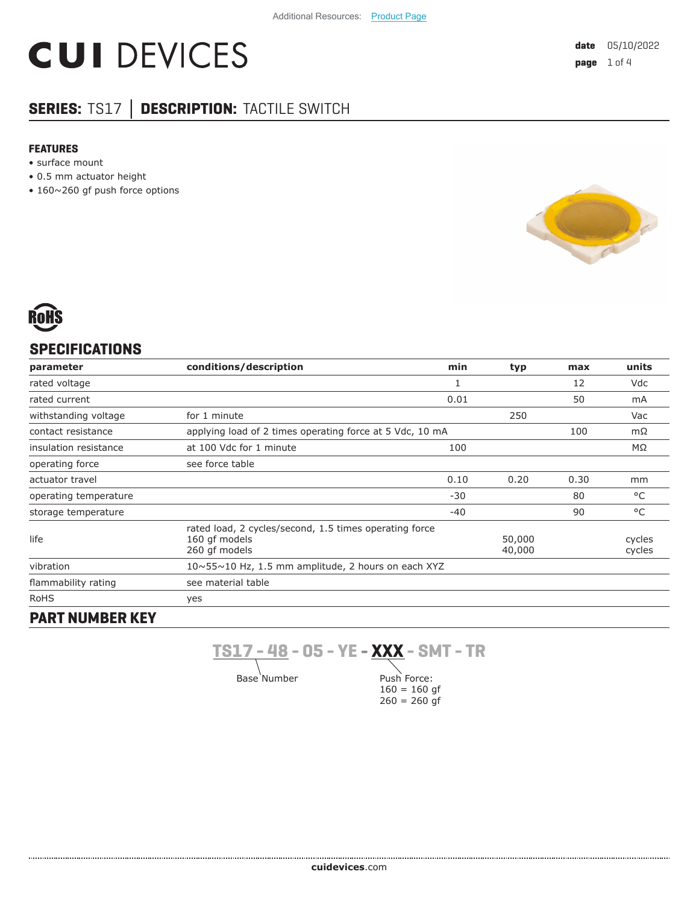# **CUI DEVICES**

# **SERIES:** TS17 **│ DESCRIPTION:** TACTILE SWITCH

#### **FEATURES**

- surface mount
- 0.5 mm actuator height
- 160~260 gf push force options





# **SPECIFICATIONS**

| parameter             | conditions/description                                                                   | min   | typ              | max  | units            |
|-----------------------|------------------------------------------------------------------------------------------|-------|------------------|------|------------------|
| rated voltage         |                                                                                          | 1     |                  | 12   | Vdc              |
| rated current         |                                                                                          | 0.01  |                  | 50   | mA               |
| withstanding voltage  | for 1 minute                                                                             |       | 250              |      | Vac              |
| contact resistance    | applying load of 2 times operating force at 5 Vdc, 10 mA                                 |       |                  | 100  | $m\Omega$        |
| insulation resistance | at 100 Vdc for 1 minute                                                                  | 100   |                  |      | ΜΩ               |
| operating force       | see force table                                                                          |       |                  |      |                  |
| actuator travel       |                                                                                          | 0.10  | 0.20             | 0.30 | mm               |
| operating temperature |                                                                                          | $-30$ |                  | 80   | °C               |
| storage temperature   |                                                                                          | $-40$ |                  | 90   | °C               |
| life                  | rated load, 2 cycles/second, 1.5 times operating force<br>160 qf models<br>260 qf models |       | 50,000<br>40,000 |      | cycles<br>cycles |
| vibration             | $10 \sim 55 \sim 10$ Hz, 1.5 mm amplitude, 2 hours on each XYZ                           |       |                  |      |                  |
| flammability rating   | see material table                                                                       |       |                  |      |                  |
| RoHS                  | yes                                                                                      |       |                  |      |                  |
| DADT MIINADED IZEV    |                                                                                          |       |                  |      |                  |

# **PART NUMBER KEY**

.....................................

**TS17 - 48 - 05 - YE - XXX - SMT - TR**

Base Number

Push Force:  $160 = 160$  gf  $260 = 260$  gf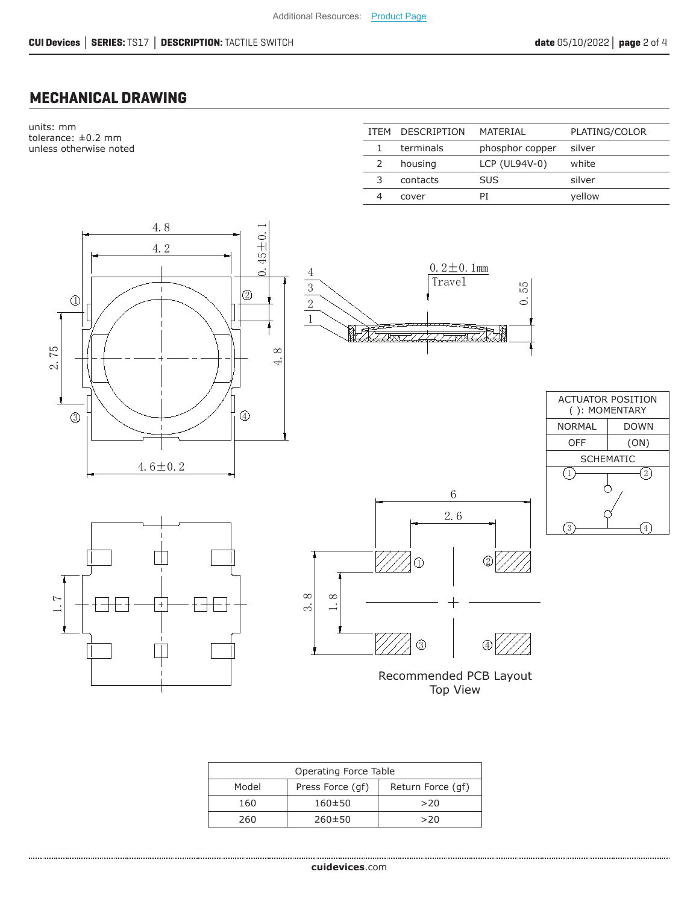# **MECHANICAL DRAWING**

units: mm tolerance: ±0.2 mm unless otherwise noted

| <b>ITFM</b> | <b>DESCRIPTION</b> | MATERIAL        | PLATING/COLOR |
|-------------|--------------------|-----------------|---------------|
|             | terminals          | phosphor copper | silver        |
|             | housing            | $LCP$ (UL94V-0) | white         |
|             | contacts           | <b>SUS</b>      | silver        |
|             | cover              | ΡI              | vellow        |
|             |                    |                 |               |

 $0.55$ 





Travel  $0.2 \pm 0.1$ mm

**RAAR** 







| Operating Force Table |                  |                   |  |
|-----------------------|------------------|-------------------|--|
| Model                 | Press Force (qf) | Return Force (qf) |  |
| 160                   | $160 \pm 50$     | >20               |  |
| 260                   | $260 \pm 50$     | >20               |  |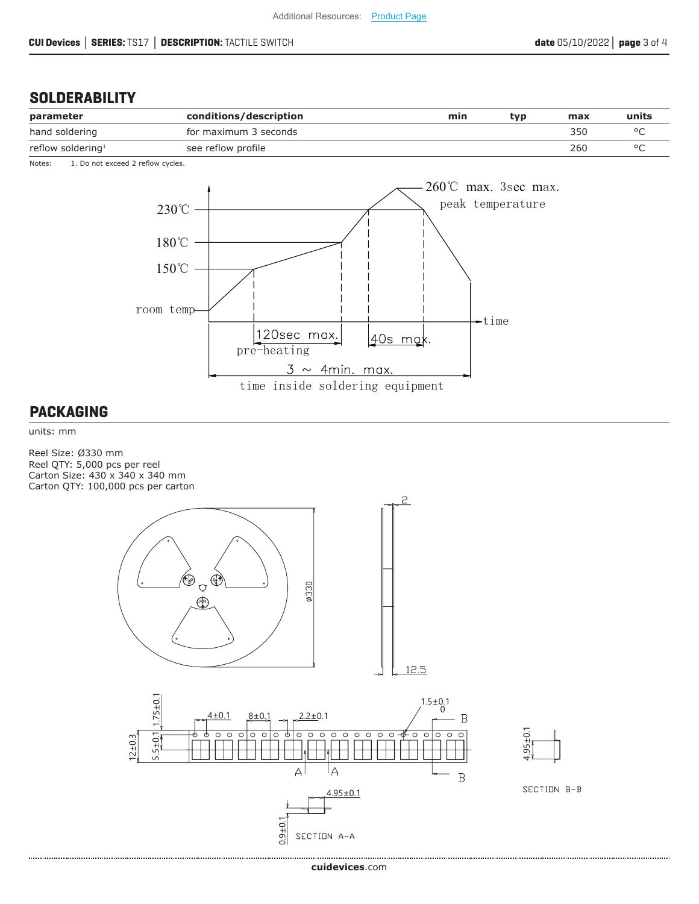## **SOLDERABILITY**

| parameter                     | conditions/description | min | tvp | max | units |
|-------------------------------|------------------------|-----|-----|-----|-------|
| hand soldering                | for maximum 3 seconds  |     |     | 350 |       |
| reflow soldering <sup>1</sup> | see reflow profile     |     |     | 260 |       |

Notes: 1. Do not exceed 2 reflow cycles.



#### **PACKAGING**

units: mm

Reel Size: Ø330 mm Reel QTY: 5,000 pcs per reel Carton Size: 430 x 340 x 340 mm Carton QTY: 100,000 pcs per carton